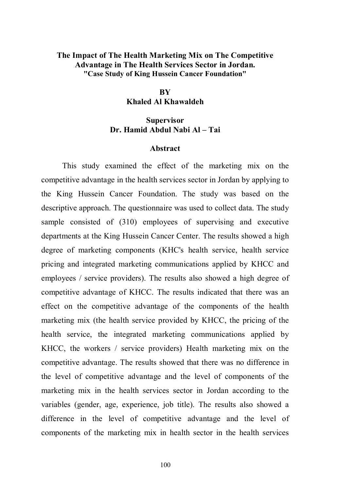# **The Impact of The Health Marketing Mix on The Competitive Advantage in The Health Services Sector in Jordan. "Case Study of King Hussein Cancer Foundation"**

#### **BY**

## **Khaled Al Khawaldeh**

## **Supervisor Dr. Hamid Abdul Nabi Al – Tai**

#### **Abstract**

This study examined the effect of the marketing mix on the competitive advantage in the health services sector in Jordan by applying to the King Hussein Cancer Foundation. The study was based on the descriptive approach. The questionnaire was used to collect data. The study sample consisted of (310) employees of supervising and executive departments at the King Hussein Cancer Center. The results showed a high degree of marketing components (KHC's health service, health service pricing and integrated marketing communications applied by KHCC and employees / service providers). The results also showed a high degree of competitive advantage of KHCC. The results indicated that there was an effect on the competitive advantage of the components of the health marketing mix (the health service provided by KHCC, the pricing of the health service, the integrated marketing communications applied by KHCC, the workers / service providers) Health marketing mix on the competitive advantage. The results showed that there was no difference in the level of competitive advantage and the level of components of the marketing mix in the health services sector in Jordan according to the variables (gender, age, experience, job title). The results also showed a difference in the level of competitive advantage and the level of components of the marketing mix in health sector in the health services